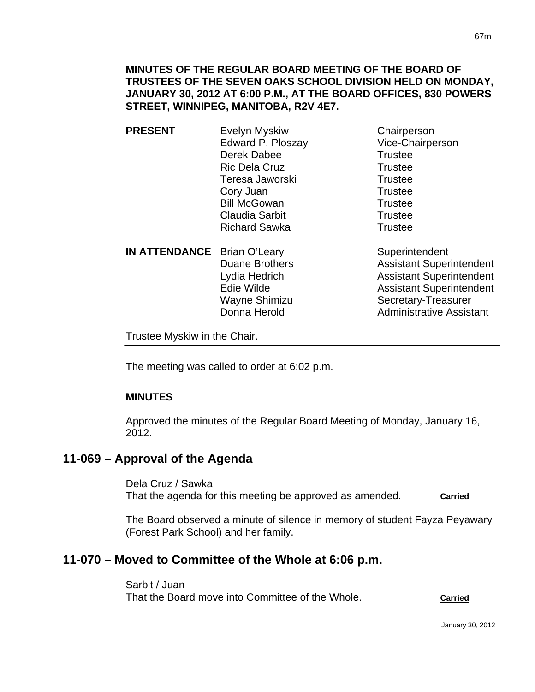- **PRESENT** Evelyn Myskiw Chairperson Edward P. Ploszay Vice-Chairperson Derek Dabee Trustee Ric Dela Cruz Trustee Teresa Jaworski **Trustee** Cory Juan Trustee Bill McGowan Trustee Claudia Sarbit **Trustee** Richard Sawka Trustee
- **IN ATTENDANCE** Brian O'Leary Superintendent

Duane Brothers **Assistant Superintendent** Lydia Hedrich **Assistant Superintendent** Edie Wilde **Assistant Superintendent** Wayne Shimizu Secretary-Treasurer Donna Herold **Administrative Assistant** 

Trustee Myskiw in the Chair.

The meeting was called to order at 6:02 p.m.

# **MINUTES**

Approved the minutes of the Regular Board Meeting of Monday, January 16, 2012.

# **11-069 – Approval of the Agenda**

Dela Cruz / Sawka That the agenda for this meeting be approved as amended. **Carried**

The Board observed a minute of silence in memory of student Fayza Peyawary (Forest Park School) and her family.

# **11-070 – Moved to Committee of the Whole at 6:06 p.m.**

Sarbit / Juan That the Board move into Committee of the Whole. **Carried**

January 30, 2012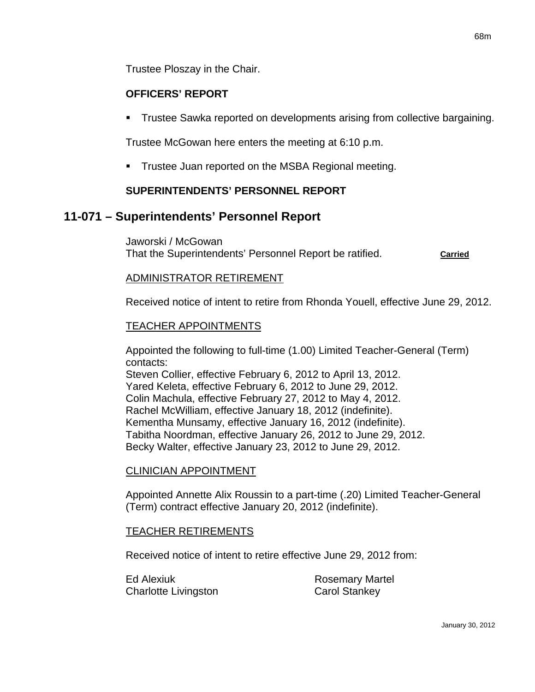Trustee Ploszay in the Chair.

### **OFFICERS' REPORT**

**Trustee Sawka reported on developments arising from collective bargaining.** 

Trustee McGowan here enters the meeting at 6:10 p.m.

**Trustee Juan reported on the MSBA Regional meeting.** 

### **SUPERINTENDENTS' PERSONNEL REPORT**

## **11-071 – Superintendents' Personnel Report**

Jaworski / McGowan That the Superintendents' Personnel Report be ratified. **Carried**

### ADMINISTRATOR RETIREMENT

Received notice of intent to retire from Rhonda Youell, effective June 29, 2012.

### TEACHER APPOINTMENTS

Appointed the following to full-time (1.00) Limited Teacher-General (Term) contacts:

Steven Collier, effective February 6, 2012 to April 13, 2012. Yared Keleta, effective February 6, 2012 to June 29, 2012. Colin Machula, effective February 27, 2012 to May 4, 2012. Rachel McWilliam, effective January 18, 2012 (indefinite). Kementha Munsamy, effective January 16, 2012 (indefinite). Tabitha Noordman, effective January 26, 2012 to June 29, 2012. Becky Walter, effective January 23, 2012 to June 29, 2012.

### CLINICIAN APPOINTMENT

Appointed Annette Alix Roussin to a part-time (.20) Limited Teacher-General (Term) contract effective January 20, 2012 (indefinite).

### TEACHER RETIREMENTS

Received notice of intent to retire effective June 29, 2012 from:

Ed Alexiuk **Rosemary Martel** Charlotte Livingston Carol Stankey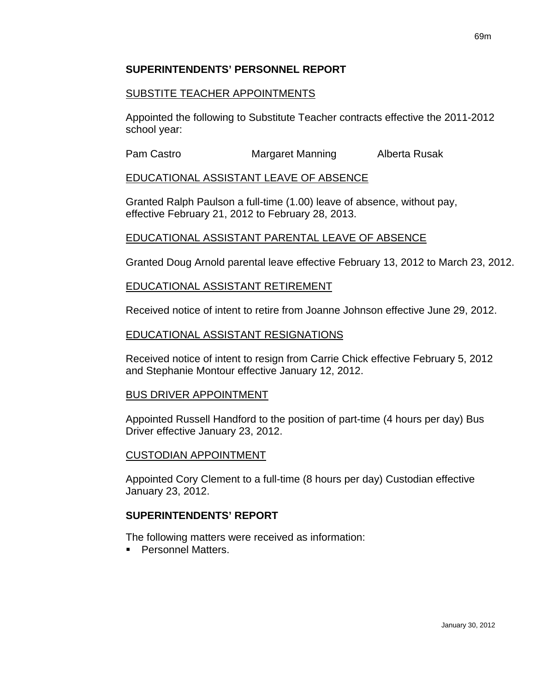### **SUPERINTENDENTS' PERSONNEL REPORT**

### SUBSTITE TEACHER APPOINTMENTS

Appointed the following to Substitute Teacher contracts effective the 2011-2012 school year:

Pam Castro **Margaret Manning** Alberta Rusak

### EDUCATIONAL ASSISTANT LEAVE OF ABSENCE

Granted Ralph Paulson a full-time (1.00) leave of absence, without pay, effective February 21, 2012 to February 28, 2013.

# EDUCATIONAL ASSISTANT PARENTAL LEAVE OF ABSENCE

Granted Doug Arnold parental leave effective February 13, 2012 to March 23, 2012.

### EDUCATIONAL ASSISTANT RETIREMENT

Received notice of intent to retire from Joanne Johnson effective June 29, 2012.

### EDUCATIONAL ASSISTANT RESIGNATIONS

Received notice of intent to resign from Carrie Chick effective February 5, 2012 and Stephanie Montour effective January 12, 2012.

### BUS DRIVER APPOINTMENT

Appointed Russell Handford to the position of part-time (4 hours per day) Bus Driver effective January 23, 2012.

### CUSTODIAN APPOINTMENT

Appointed Cory Clement to a full-time (8 hours per day) Custodian effective January 23, 2012.

### **SUPERINTENDENTS' REPORT**

The following matters were received as information:

**Personnel Matters.**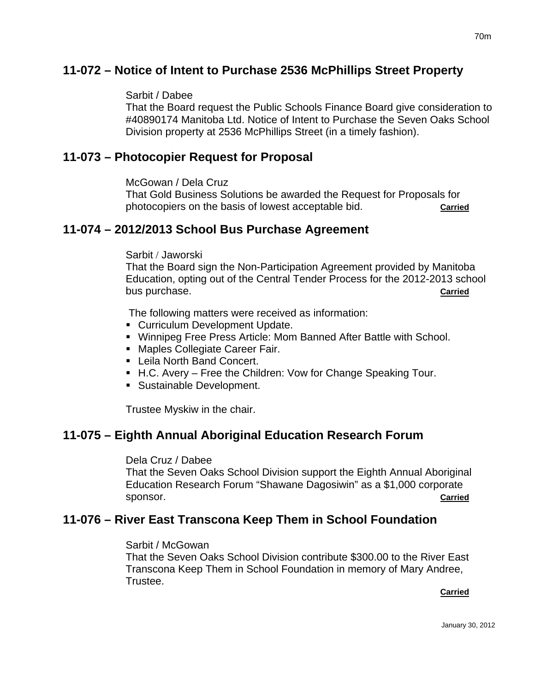# **11-072 – Notice of Intent to Purchase 2536 McPhillips Street Property**

### Sarbit / Dabee

That the Board request the Public Schools Finance Board give consideration to #40890174 Manitoba Ltd. Notice of Intent to Purchase the Seven Oaks School Division property at 2536 McPhillips Street (in a timely fashion).

# **11-073 – Photocopier Request for Proposal**

McGowan / Dela Cruz

That Gold Business Solutions be awarded the Request for Proposals for photocopiers on the basis of lowest acceptable bid. **Carried**

# **11-074 – 2012/2013 School Bus Purchase Agreement**

### Sarbit / Jaworski

That the Board sign the Non-Participation Agreement provided by Manitoba Education, opting out of the Central Tender Process for the 2012-2013 school bus purchase. **Carried**

The following matters were received as information:

- **Curriculum Development Update.**
- Winnipeg Free Press Article: Mom Banned After Battle with School.
- **Maples Collegiate Career Fair.**
- Leila North Band Concert.
- H.C. Avery Free the Children: Vow for Change Speaking Tour.
- **Sustainable Development.**

Trustee Myskiw in the chair.

# **11-075 – Eighth Annual Aboriginal Education Research Forum**

### Dela Cruz / Dabee

That the Seven Oaks School Division support the Eighth Annual Aboriginal Education Research Forum "Shawane Dagosiwin" as a \$1,000 corporate sponsor. **Carried**

# **11-076 – River East Transcona Keep Them in School Foundation**

### Sarbit / McGowan

That the Seven Oaks School Division contribute \$300.00 to the River East Transcona Keep Them in School Foundation in memory of Mary Andree, Trustee. **Carried Carried Carried Carried Carried Carried Carried Carried Carried Carried Carried Carried Carried Carried Carried Carried Carried Carried Carried Carried Carried Carried Carried Carried Carried Carried Carried Carri**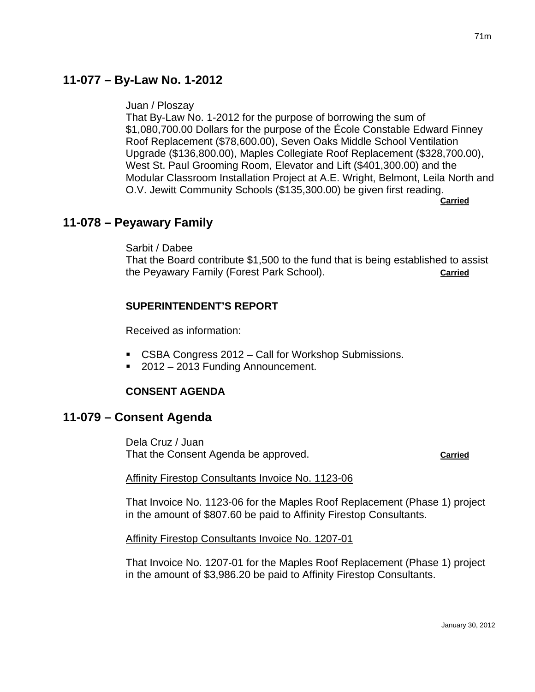# **11-077 – By-Law No. 1-2012**

Juan / Ploszay

That By-Law No. 1-2012 for the purpose of borrowing the sum of \$1,080,700.00 Dollars for the purpose of the École Constable Edward Finney Roof Replacement (\$78,600.00), Seven Oaks Middle School Ventilation Upgrade (\$136,800.00), Maples Collegiate Roof Replacement (\$328,700.00), West St. Paul Grooming Room, Elevator and Lift (\$401,300.00) and the Modular Classroom Installation Project at A.E. Wright, Belmont, Leila North and O.V. Jewitt Community Schools (\$135,300.00) be given first reading. **Carried** 

# **11-078 – Peyawary Family**

Sarbit / Dabee

That the Board contribute \$1,500 to the fund that is being established to assist the Peyawary Family (Forest Park School). **Carried**

# **SUPERINTENDENT'S REPORT**

Received as information:

- CSBA Congress 2012 Call for Workshop Submissions.
- 2012 2013 Funding Announcement.

### **CONSENT AGENDA**

# **11-079 – Consent Agenda**

Dela Cruz / Juan That the Consent Agenda be approved. **Carried**

Affinity Firestop Consultants Invoice No. 1123-06

That Invoice No. 1123-06 for the Maples Roof Replacement (Phase 1) project in the amount of \$807.60 be paid to Affinity Firestop Consultants.

Affinity Firestop Consultants Invoice No. 1207-01

That Invoice No. 1207-01 for the Maples Roof Replacement (Phase 1) project in the amount of \$3,986.20 be paid to Affinity Firestop Consultants.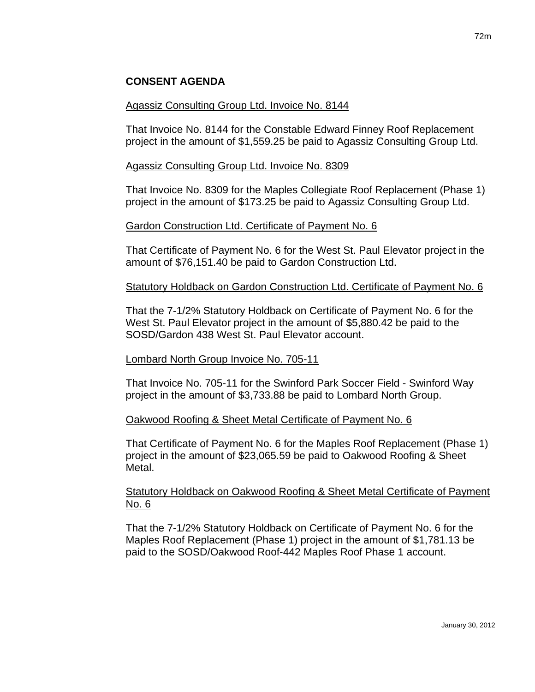# **CONSENT AGENDA**

### Agassiz Consulting Group Ltd. Invoice No. 8144

That Invoice No. 8144 for the Constable Edward Finney Roof Replacement project in the amount of \$1,559.25 be paid to Agassiz Consulting Group Ltd.

### Agassiz Consulting Group Ltd. Invoice No. 8309

That Invoice No. 8309 for the Maples Collegiate Roof Replacement (Phase 1) project in the amount of \$173.25 be paid to Agassiz Consulting Group Ltd.

### Gardon Construction Ltd. Certificate of Payment No. 6

That Certificate of Payment No. 6 for the West St. Paul Elevator project in the amount of \$76,151.40 be paid to Gardon Construction Ltd.

### Statutory Holdback on Gardon Construction Ltd. Certificate of Payment No. 6

That the 7-1/2% Statutory Holdback on Certificate of Payment No. 6 for the West St. Paul Elevator project in the amount of \$5,880.42 be paid to the SOSD/Gardon 438 West St. Paul Elevator account.

### Lombard North Group Invoice No. 705-11

That Invoice No. 705-11 for the Swinford Park Soccer Field - Swinford Way project in the amount of \$3,733.88 be paid to Lombard North Group.

### Oakwood Roofing & Sheet Metal Certificate of Payment No. 6

That Certificate of Payment No. 6 for the Maples Roof Replacement (Phase 1) project in the amount of \$23,065.59 be paid to Oakwood Roofing & Sheet Metal.

### Statutory Holdback on Oakwood Roofing & Sheet Metal Certificate of Payment No. 6

That the 7-1/2% Statutory Holdback on Certificate of Payment No. 6 for the Maples Roof Replacement (Phase 1) project in the amount of \$1,781.13 be paid to the SOSD/Oakwood Roof-442 Maples Roof Phase 1 account.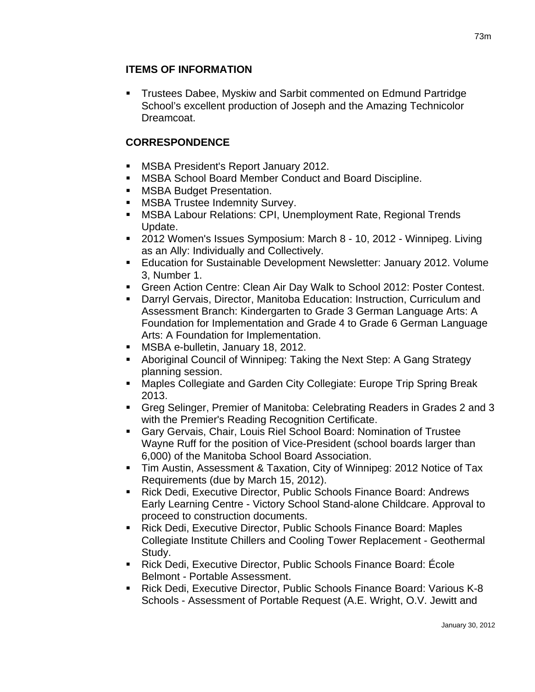## **ITEMS OF INFORMATION**

 Trustees Dabee, Myskiw and Sarbit commented on Edmund Partridge School's excellent production of Joseph and the Amazing Technicolor Dreamcoat.

# **CORRESPONDENCE**

- MSBA President's Report January 2012.
- MSBA School Board Member Conduct and Board Discipline.
- **MSBA Budget Presentation.**
- **MSBA Trustee Indemnity Survey.**
- MSBA Labour Relations: CPI, Unemployment Rate, Regional Trends Update.
- 2012 Women's Issues Symposium: March 8 10, 2012 Winnipeg. Living as an Ally: Individually and Collectively.
- Education for Sustainable Development Newsletter: January 2012. Volume 3, Number 1.
- Green Action Centre: Clean Air Day Walk to School 2012: Poster Contest.
- Darryl Gervais, Director, Manitoba Education: Instruction, Curriculum and Assessment Branch: Kindergarten to Grade 3 German Language Arts: A Foundation for Implementation and Grade 4 to Grade 6 German Language Arts: A Foundation for Implementation.
- **MSBA e-bulletin, January 18, 2012.**
- Aboriginal Council of Winnipeg: Taking the Next Step: A Gang Strategy planning session.
- Maples Collegiate and Garden City Collegiate: Europe Trip Spring Break 2013.
- Greg Selinger, Premier of Manitoba: Celebrating Readers in Grades 2 and 3 with the Premier's Reading Recognition Certificate.
- Gary Gervais, Chair, Louis Riel School Board: Nomination of Trustee Wayne Ruff for the position of Vice-President (school boards larger than 6,000) of the Manitoba School Board Association.
- Tim Austin, Assessment & Taxation, City of Winnipeg: 2012 Notice of Tax Requirements (due by March 15, 2012).
- **EXECT And Track Director, Public Schools Finance Board: Andrews 4** Early Learning Centre - Victory School Stand-alone Childcare. Approval to proceed to construction documents.
- Rick Dedi, Executive Director, Public Schools Finance Board: Maples Collegiate Institute Chillers and Cooling Tower Replacement - Geothermal Study.
- Rick Dedi, Executive Director, Public Schools Finance Board: École Belmont - Portable Assessment.
- Rick Dedi, Executive Director, Public Schools Finance Board: Various K-8 Schools - Assessment of Portable Request (A.E. Wright, O.V. Jewitt and